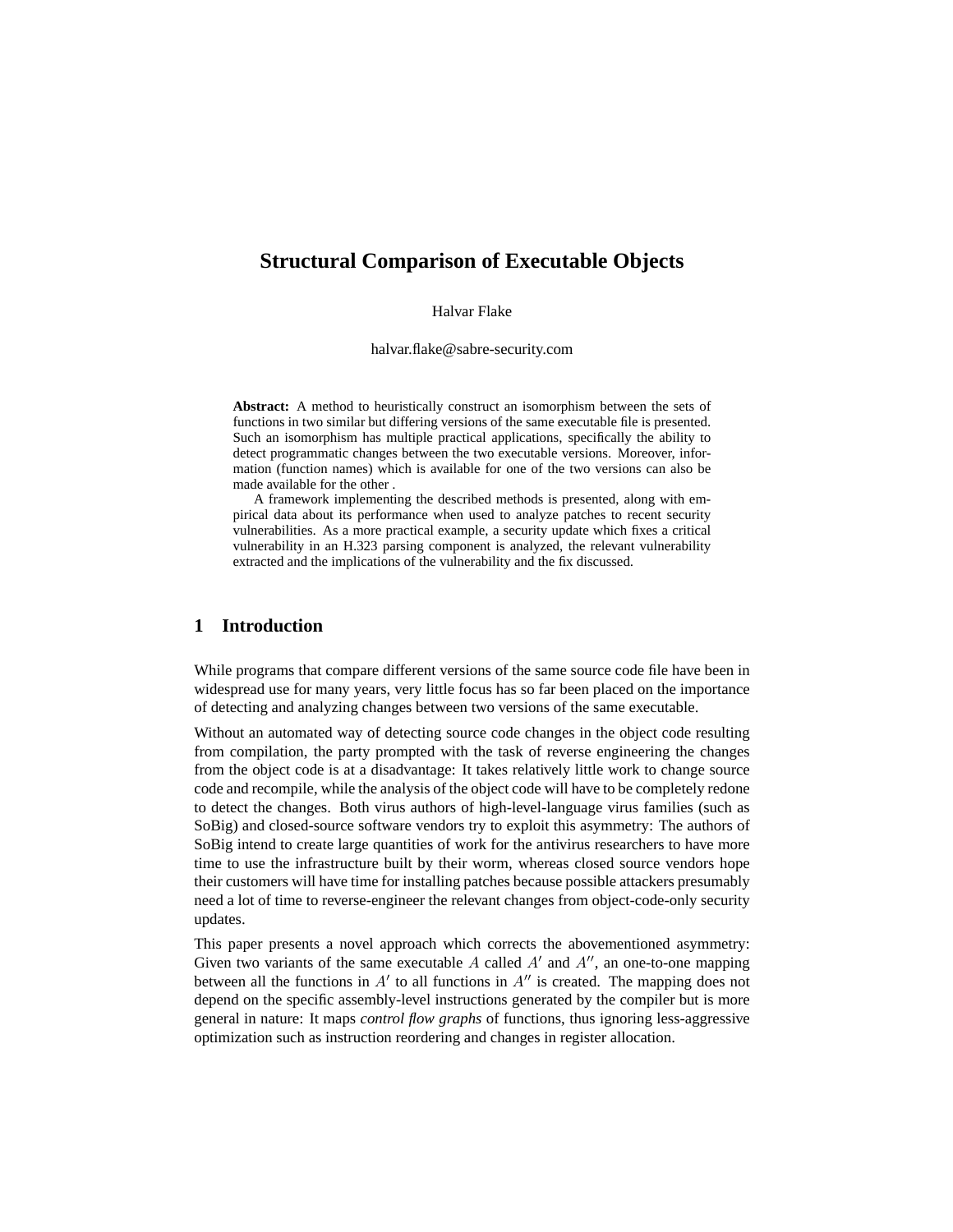# **Structural Comparison of Executable Objects**

Halvar Flake

halvar.flake@sabre-security.com

**Abstract:** A method to heuristically construct an isomorphism between the sets of functions in two similar but differing versions of the same executable file is presented. Such an isomorphism has multiple practical applications, specifically the ability to detect programmatic changes between the two executable versions. Moreover, information (function names) which is available for one of the two versions can also be made available for the other .

A framework implementing the described methods is presented, along with empirical data about its performance when used to analyze patches to recent security vulnerabilities. As a more practical example, a security update which fixes a critical vulnerability in an H.323 parsing component is analyzed, the relevant vulnerability extracted and the implications of the vulnerability and the fix discussed.

## **1 Introduction**

While programs that compare different versions of the same source code file have been in widespread use for many years, very little focus has so far been placed on the importance of detecting and analyzing changes between two versions of the same executable.

Without an automated way of detecting source code changes in the object code resulting from compilation, the party prompted with the task of reverse engineering the changes from the object code is at a disadvantage: It takes relatively little work to change source code and recompile, while the analysis of the object code will have to be completely redone to detect the changes. Both virus authors of high-level-language virus families (such as SoBig) and closed-source software vendors try to exploit this asymmetry: The authors of SoBig intend to create large quantities of work for the antivirus researchers to have more time to use the infrastructure built by their worm, whereas closed source vendors hope their customers will have time for installing patches because possible attackers presumably need a lot of time to reverse-engineer the relevant changes from object-code-only security updates.

This paper presents a novel approach which corrects the abovementioned asymmetry: Given two variants of the same executable  $A$  called  $A'$  and  $A''$ , an one-to-one mapping between all the functions in  $A'$  to all functions in  $A''$  is created. The mapping does not depend on the specific assembly-level instructions generated by the compiler but is more general in nature: It maps *control flow graphs* of functions, thus ignoring less-aggressive optimization such as instruction reordering and changes in register allocation.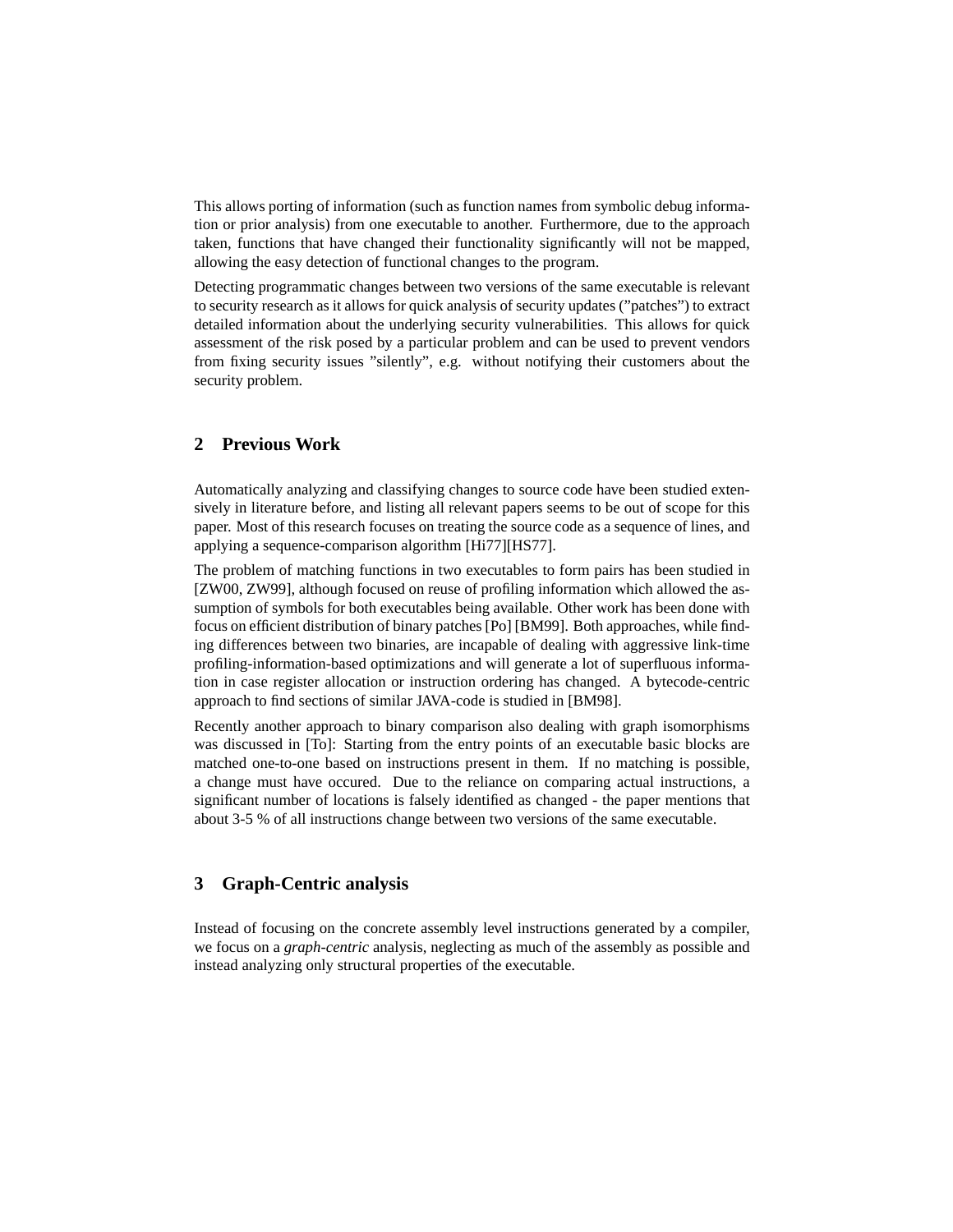This allows porting of information (such as function names from symbolic debug information or prior analysis) from one executable to another. Furthermore, due to the approach taken, functions that have changed their functionality significantly will not be mapped, allowing the easy detection of functional changes to the program.

Detecting programmatic changes between two versions of the same executable is relevant to security research as it allows for quick analysis of security updates ("patches") to extract detailed information about the underlying security vulnerabilities. This allows for quick assessment of the risk posed by a particular problem and can be used to prevent vendors from fixing security issues "silently", e.g. without notifying their customers about the security problem.

## **2 Previous Work**

Automatically analyzing and classifying changes to source code have been studied extensively in literature before, and listing all relevant papers seems to be out of scope for this paper. Most of this research focuses on treating the source code as a sequence of lines, and applying a sequence-comparison algorithm [Hi77][HS77].

The problem of matching functions in two executables to form pairs has been studied in [ZW00, ZW99], although focused on reuse of profiling information which allowed the assumption of symbols for both executables being available. Other work has been done with focus on efficient distribution of binary patches [Po] [BM99]. Both approaches, while finding differences between two binaries, are incapable of dealing with aggressive link-time profiling-information-based optimizations and will generate a lot of superfluous information in case register allocation or instruction ordering has changed. A bytecode-centric approach to find sections of similar JAVA-code is studied in [BM98].

Recently another approach to binary comparison also dealing with graph isomorphisms was discussed in [To]: Starting from the entry points of an executable basic blocks are matched one-to-one based on instructions present in them. If no matching is possible, a change must have occured. Due to the reliance on comparing actual instructions, a significant number of locations is falsely identified as changed - the paper mentions that about 3-5 % of all instructions change between two versions of the same executable.

## **3 Graph-Centric analysis**

Instead of focusing on the concrete assembly level instructions generated by a compiler, we focus on a *graph-centric* analysis, neglecting as much of the assembly as possible and instead analyzing only structural properties of the executable.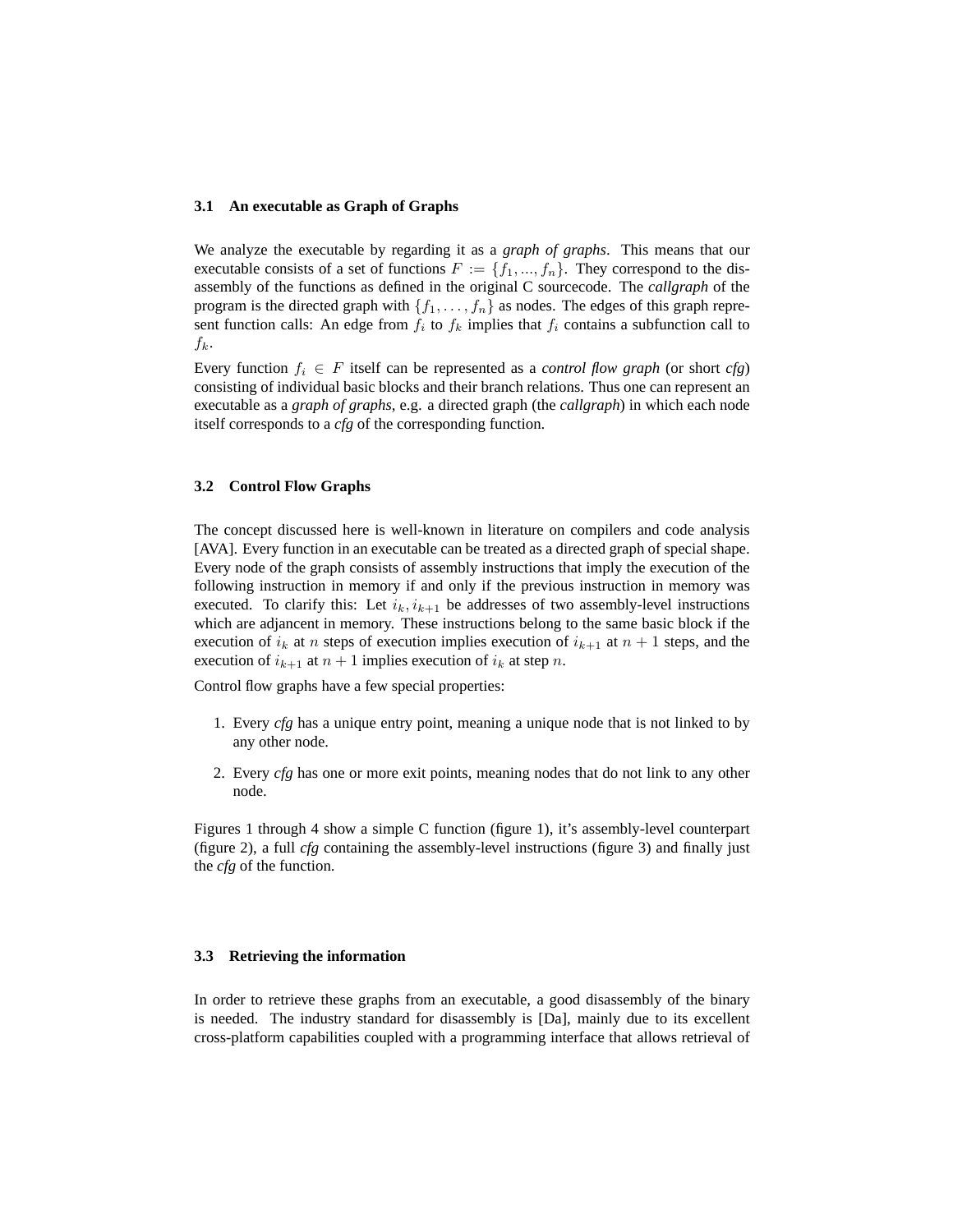### **3.1 An executable as Graph of Graphs**

We analyze the executable by regarding it as a *graph of graphs*. This means that our executable consists of a set of functions  $F := \{f_1, ..., f_n\}$ . They correspond to the disassembly of the functions as defined in the original C sourcecode. The *callgraph* of the program is the directed graph with  $\{f_1, \ldots, f_n\}$  as nodes. The edges of this graph represent function calls: An edge from  $f_i$  to  $f_k$  implies that  $f_i$  contains a subfunction call to  $f_k$ .

Every function  $f_i \in F$  itself can be represented as a *control flow graph* (or short *cfg*) consisting of individual basic blocks and their branch relations. Thus one can represent an executable as a *graph of graphs*, e.g. a directed graph (the *callgraph*) in which each node itself corresponds to a *cfg* of the corresponding function.

#### **3.2 Control Flow Graphs**

The concept discussed here is well-known in literature on compilers and code analysis [AVA]. Every function in an executable can be treated as a directed graph of special shape. Every node of the graph consists of assembly instructions that imply the execution of the following instruction in memory if and only if the previous instruction in memory was executed. To clarify this: Let  $i_k$ ,  $i_{k+1}$  be addresses of two assembly-level instructions which are adjancent in memory. These instructions belong to the same basic block if the execution of  $i_k$  at n steps of execution implies execution of  $i_{k+1}$  at  $n+1$  steps, and the execution of  $i_{k+1}$  at  $n+1$  implies execution of  $i_k$  at step n.

Control flow graphs have a few special properties:

- 1. Every *cfg* has a unique entry point, meaning a unique node that is not linked to by any other node.
- 2. Every *cfg* has one or more exit points, meaning nodes that do not link to any other node.

Figures 1 through 4 show a simple C function (figure 1), it's assembly-level counterpart (figure 2), a full *cfg* containing the assembly-level instructions (figure 3) and finally just the *cfg* of the function.

#### **3.3 Retrieving the information**

In order to retrieve these graphs from an executable, a good disassembly of the binary is needed. The industry standard for disassembly is [Da], mainly due to its excellent cross-platform capabilities coupled with a programming interface that allows retrieval of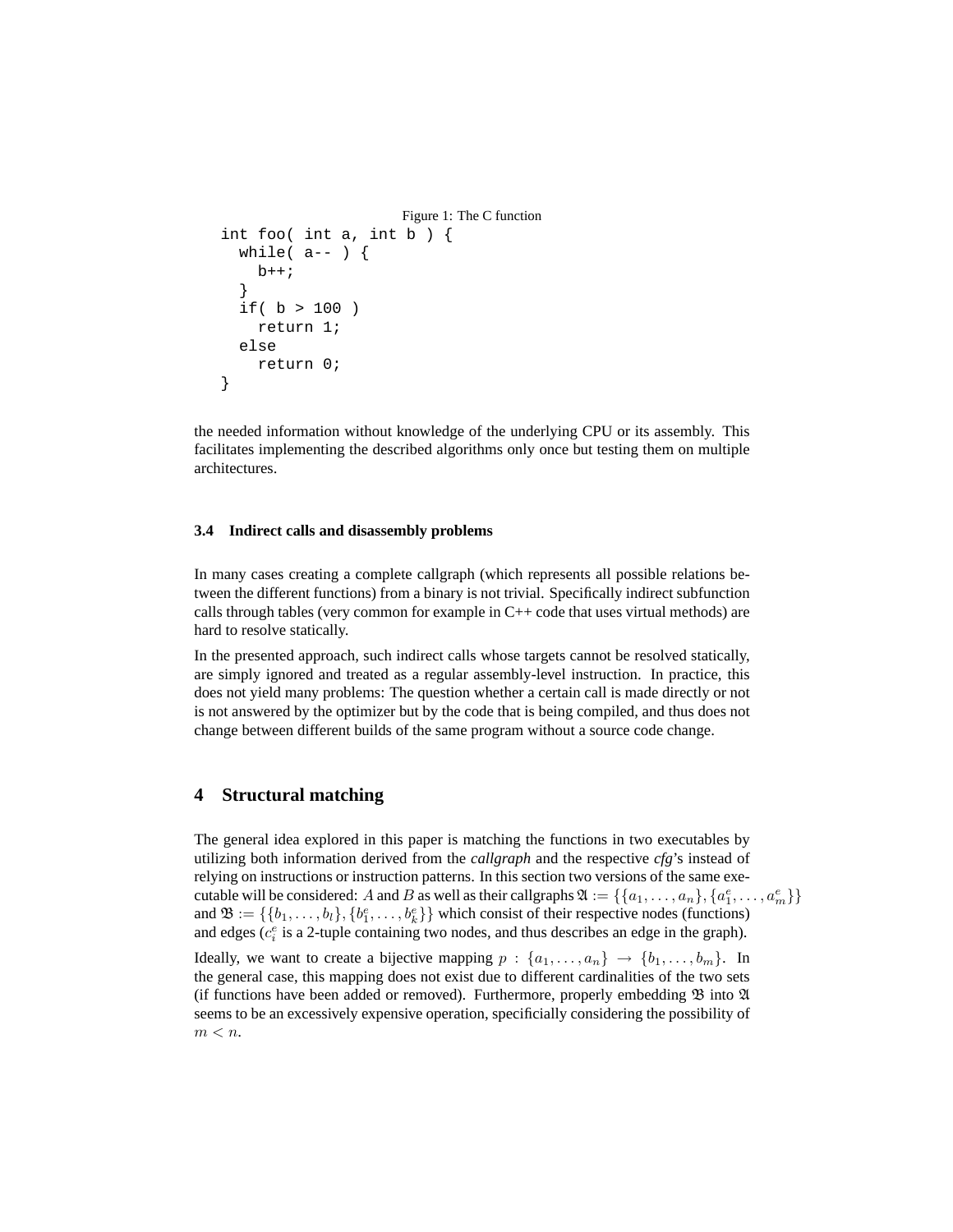```
Figure 1: The C function
int foo( int a, int b ) {
  while(a--) {
    b++;}
  if( b > 100 )
    return 1;
  else
    return 0;
}
```
the needed information without knowledge of the underlying CPU or its assembly. This facilitates implementing the described algorithms only once but testing them on multiple architectures.

### **3.4 Indirect calls and disassembly problems**

In many cases creating a complete callgraph (which represents all possible relations between the different functions) from a binary is not trivial. Specifically indirect subfunction calls through tables (very common for example in  $C++$  code that uses virtual methods) are hard to resolve statically.

In the presented approach, such indirect calls whose targets cannot be resolved statically, are simply ignored and treated as a regular assembly-level instruction. In practice, this does not yield many problems: The question whether a certain call is made directly or not is not answered by the optimizer but by the code that is being compiled, and thus does not change between different builds of the same program without a source code change.

## **4 Structural matching**

The general idea explored in this paper is matching the functions in two executables by utilizing both information derived from the *callgraph* and the respective *cfg*'s instead of relying on instructions or instruction patterns. In this section two versions of the same executable will be considered: A and B as well as their callgraphs  $\mathfrak{A} := \{\{a_1, \ldots, a_n\}, \{a_1^e, \ldots, a_m^e\}\}\$ and  $\mathfrak{B} := \{\{b_1, \ldots, b_l\}, \{b_1^e, \ldots, b_k^e\}\}\$  which consist of their respective nodes (functions) and edges  $(c_i^e$  is a 2-tuple containing two nodes, and thus describes an edge in the graph).

Ideally, we want to create a bijective mapping  $p : \{a_1, \ldots, a_n\} \rightarrow \{b_1, \ldots, b_m\}$ . In the general case, this mapping does not exist due to different cardinalities of the two sets (if functions have been added or removed). Furthermore, properly embedding  $\mathfrak B$  into  $\mathfrak A$ seems to be an excessively expensive operation, specificially considering the possibility of  $m < n$ .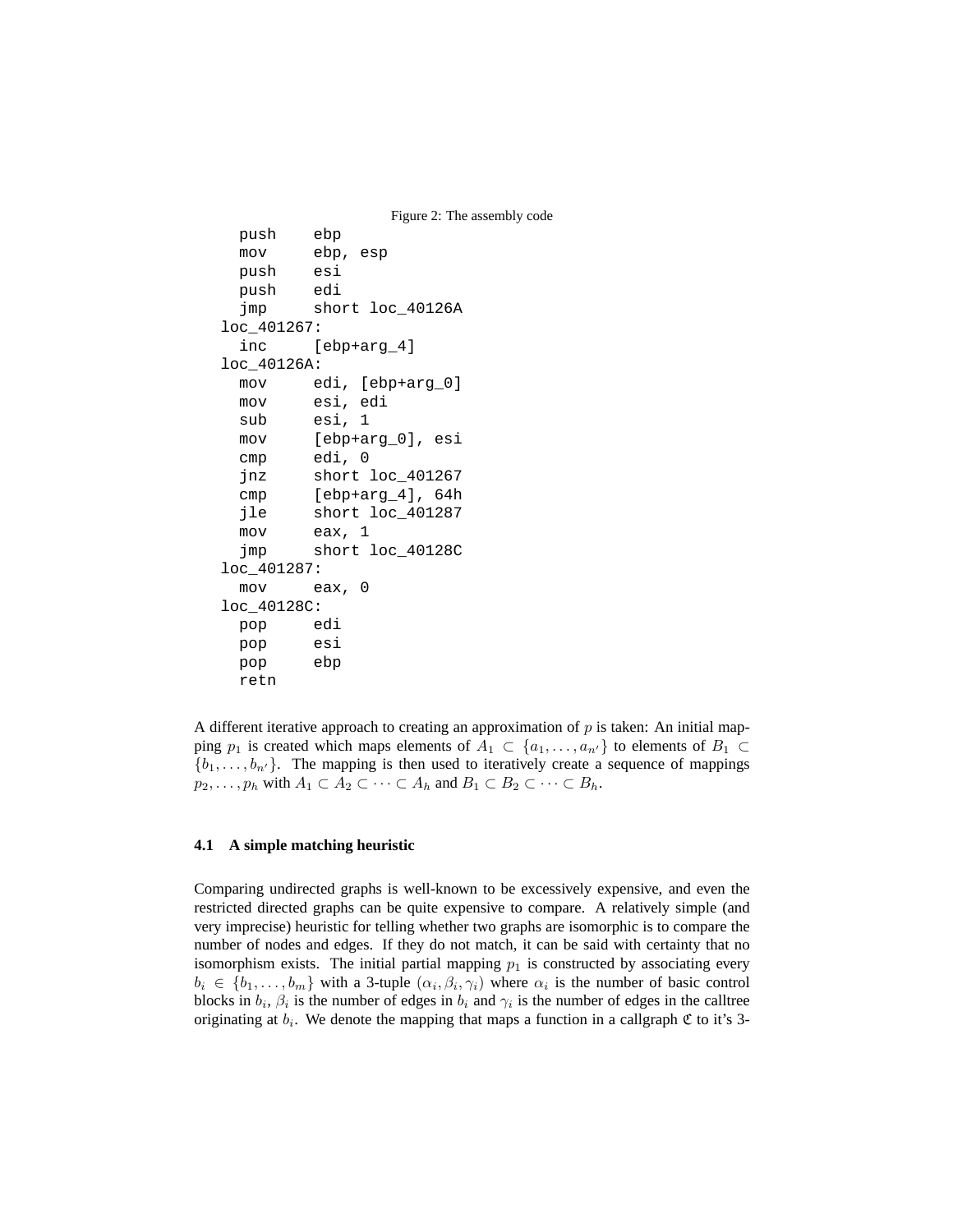```
Figure 2: The assembly code
 push ebp
 mov ebp, esp
 push esi
 push edi
 jmp short loc_40126A
loc_401267:
 inc [ebp+arg_4]
loc_40126A:
 mov edi, [ebp+arg_0]
 mov esi, edi
 sub esi, 1
 mov [ebp+arg_0], esi
 cmp edi, 0
 jnz short loc_401267
 cmp [ebp+arg_4], 64h
 jle short loc_401287
 mov eax, 1
 jmp short loc_40128C
loc_401287:
 mov eax, 0
loc_40128C:
 pop edi
 pop esi
 pop ebp
 retn
```
A different iterative approach to creating an approximation of  $p$  is taken: An initial mapping  $p_1$  is created which maps elements of  $A_1 \subset \{a_1, \ldots, a_{n'}\}$  to elements of  $B_1 \subset$  $\{b_1, \ldots, b_{n'}\}.$  The mapping is then used to iteratively create a sequence of mappings  $p_2, \ldots, p_h$  with  $A_1 \subset A_2 \subset \cdots \subset A_h$  and  $B_1 \subset B_2 \subset \cdots \subset B_h$ .

### **4.1 A simple matching heuristic**

Comparing undirected graphs is well-known to be excessively expensive, and even the restricted directed graphs can be quite expensive to compare. A relatively simple (and very imprecise) heuristic for telling whether two graphs are isomorphic is to compare the number of nodes and edges. If they do not match, it can be said with certainty that no isomorphism exists. The initial partial mapping  $p_1$  is constructed by associating every  $b_i \in \{b_1, \ldots, b_m\}$  with a 3-tuple  $(\alpha_i, \beta_i, \gamma_i)$  where  $\alpha_i$  is the number of basic control blocks in  $b_i$ ,  $\beta_i$  is the number of edges in  $b_i$  and  $\gamma_i$  is the number of edges in the calltree originating at  $b_i$ . We denote the mapping that maps a function in a callgraph  $\mathfrak C$  to it's 3-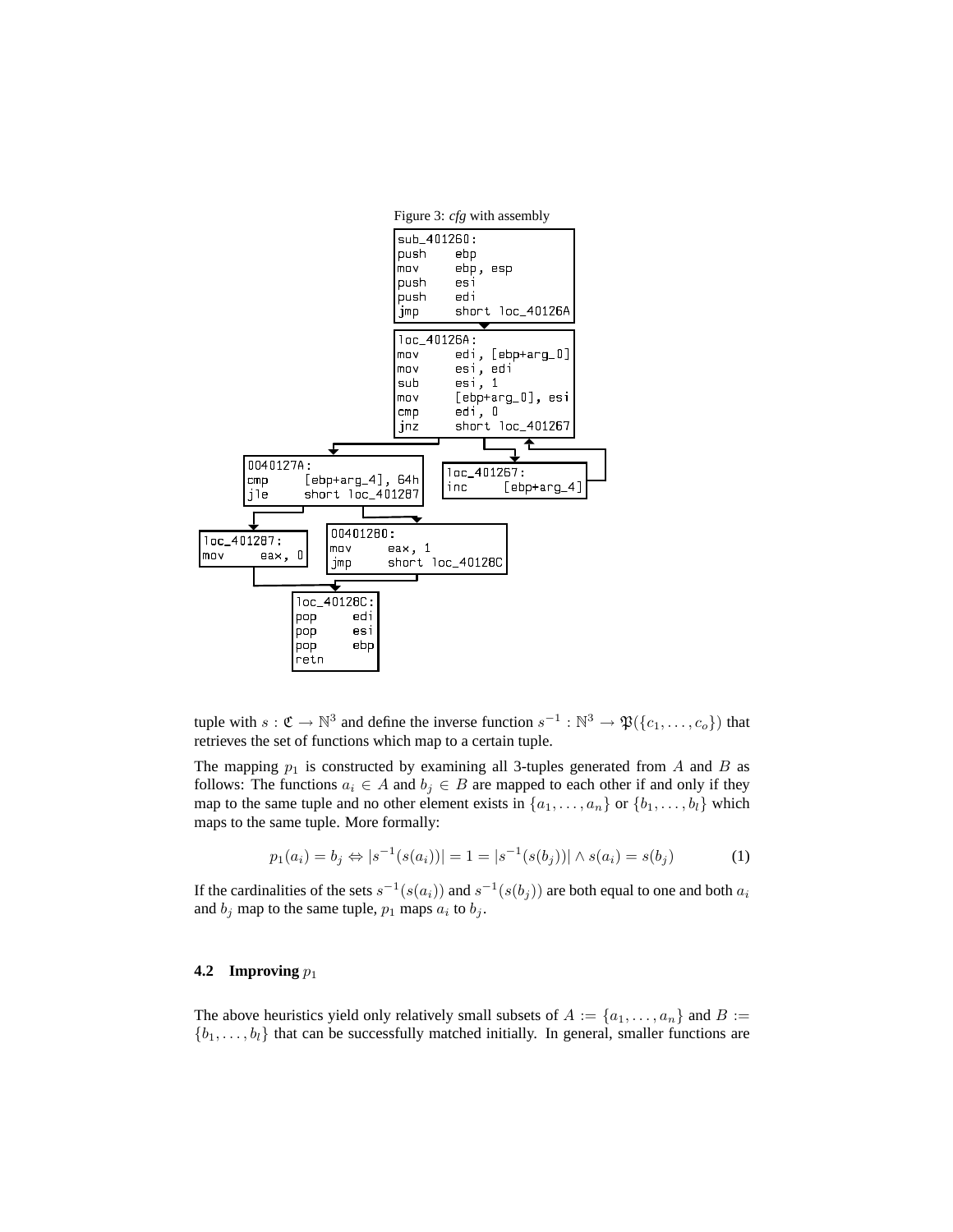

tuple with  $s: \mathfrak{C} \to \mathbb{N}^3$  and define the inverse function  $s^{-1}: \mathbb{N}^3 \to \mathfrak{P}(\{c_1, \ldots, c_o\})$  that retrieves the set of functions which map to a certain tuple.

The mapping  $p_1$  is constructed by examining all 3-tuples generated from A and B as follows: The functions  $a_i \in A$  and  $b_j \in B$  are mapped to each other if and only if they map to the same tuple and no other element exists in  $\{a_1, \ldots, a_n\}$  or  $\{b_1, \ldots, b_l\}$  which maps to the same tuple. More formally:

$$
p_1(a_i) = b_j \Leftrightarrow |s^{-1}(s(a_i))| = 1 = |s^{-1}(s(b_j))| \wedge s(a_i) = s(b_j)
$$
 (1)

If the cardinalities of the sets  $s^{-1}(s(a_i))$  and  $s^{-1}(s(b_j))$  are both equal to one and both  $a_i$ and  $b_j$  map to the same tuple,  $p_1$  maps  $a_i$  to  $b_j$ .

### **4.2** Improving  $p_1$

The above heuristics yield only relatively small subsets of  $A := \{a_1, \ldots, a_n\}$  and  $B :=$  $\{b_1, \ldots, b_l\}$  that can be successfully matched initially. In general, smaller functions are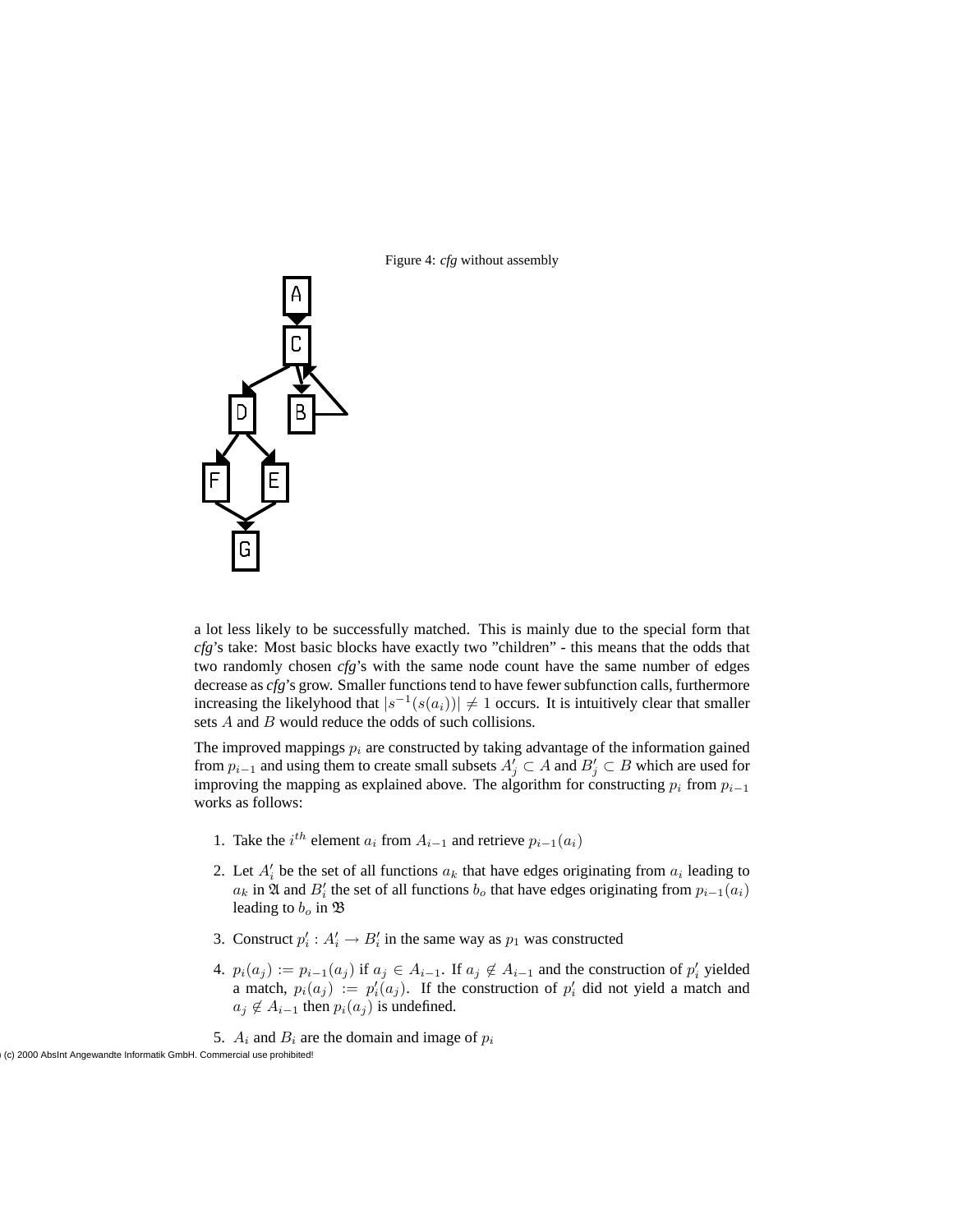



a lot less likely to be successfully matched. This is mainly due to the special form that *cfg*'s take: Most basic blocks have exactly two "children" - this means that the odds that two randomly chosen *cfg*'s with the same node count have the same number of edges decrease as *cfg*'s grow. Smaller functions tend to have fewer subfunction calls, furthermore increasing the likelyhood that  $|s^{-1}(s(a_i))| \neq 1$  occurs. It is intuitively clear that smaller sets A and B would reduce the odds of such collisions.

The improved mappings  $p_i$  are constructed by taking advantage of the information gained from  $p_{i-1}$  and using them to create small subsets  $A'_j \subset A$  and  $B'_j \subset B$  which are used for improving the mapping as explained above. The algorithm for constructing  $p_i$  from  $p_{i-1}$ works as follows:

- 1. Take the  $i^{th}$  element  $a_i$  from  $A_{i-1}$  and retrieve  $p_{i-1}(a_i)$
- 2. Let  $A'_i$  be the set of all functions  $a_k$  that have edges originating from  $a_i$  leading to  $a_k$  in  $\mathfrak A$  and  $B_i'$  the set of all functions  $b_o$  that have edges originating from  $p_{i-1}(a_i)$ leading to  $b<sub>o</sub>$  in  $\mathfrak{B}$
- 3. Construct  $p'_i : A'_i \to B'_i$  in the same way as  $p_1$  was constructed
- 4.  $p_i(a_j) := p_{i-1}(a_j)$  if  $a_j \in A_{i-1}$ . If  $a_j \notin A_{i-1}$  and the construction of  $p'_i$  yielded a match,  $p_i(a_j) := p'_i(a_j)$ . If the construction of  $p'_i$  did not yield a match and  $a_j \notin A_{i-1}$  then  $p_i(a_j)$  is undefined.
- 5.  $A_i$  and  $B_i$  are the domain and image of  $p_i$

(c) 2000 AbsInt Angewandte Informatik GmbH. Commercial use prohibited!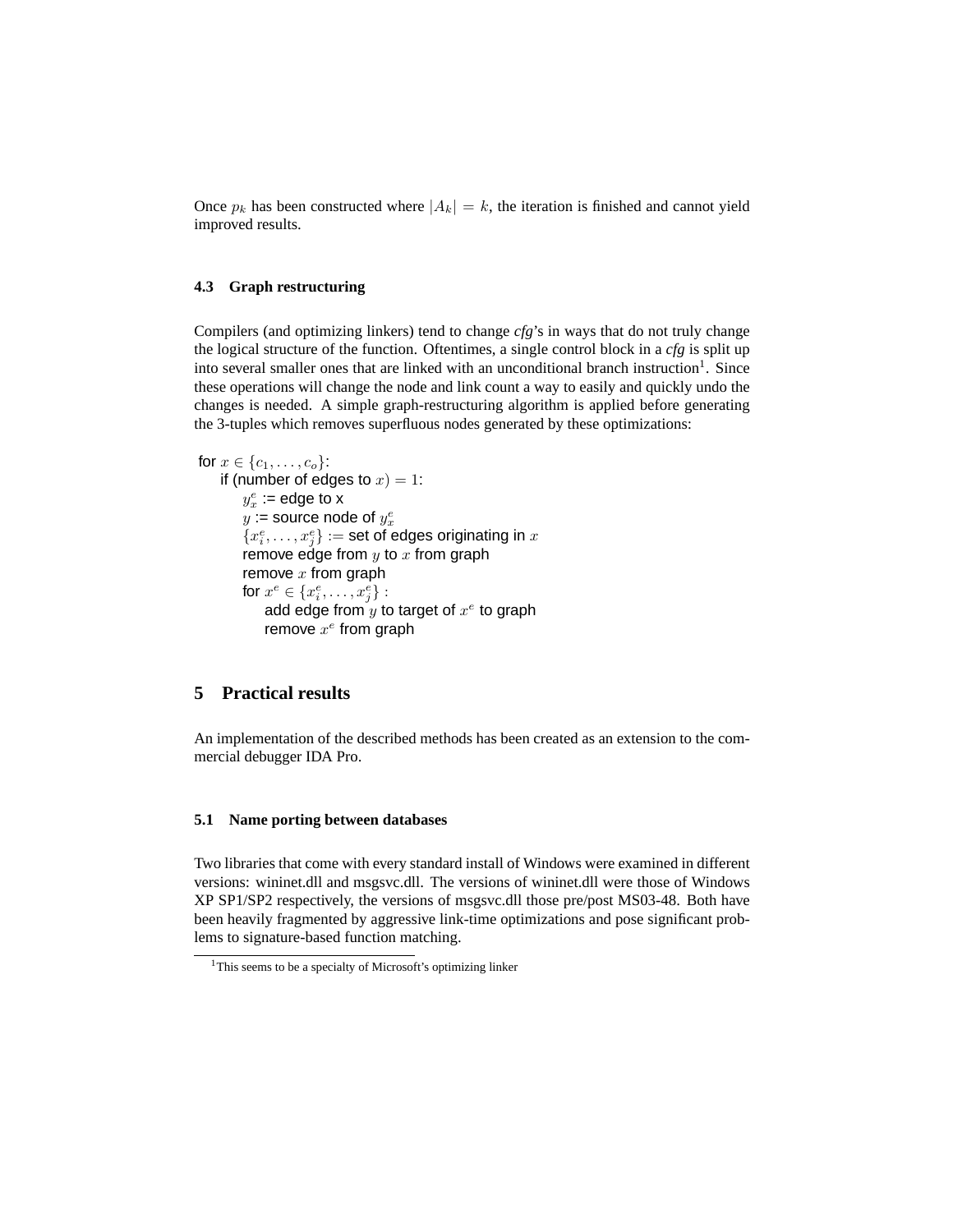Once  $p_k$  has been constructed where  $|A_k| = k$ , the iteration is finished and cannot yield improved results.

### **4.3 Graph restructuring**

Compilers (and optimizing linkers) tend to change *cfg*'s in ways that do not truly change the logical structure of the function. Oftentimes, a single control block in a *cfg* is split up into several smaller ones that are linked with an unconditional branch instruction<sup>1</sup>. Since these operations will change the node and link count a way to easily and quickly undo the changes is needed. A simple graph-restructuring algorithm is applied before generating the 3-tuples which removes superfluous nodes generated by these optimizations:

```
for x \in \{c_1, ..., c_o\}:
    if (number of edges to x) = 1:
        y_x^e := edge to x
        y \coloneqq source node of y_x^e\{x_i^e, \ldots, x_j^e\} := set of edges originating in xremove edge from y to x from graph
        remove x from graph
        for x^e \in \{x^e_i, \ldots, x^e_j\} :
            add edge from \overset{\,\,}{y} to target of x^e to graph
            remove x^e from graph
```
## **5 Practical results**

An implementation of the described methods has been created as an extension to the commercial debugger IDA Pro.

#### **5.1 Name porting between databases**

Two libraries that come with every standard install of Windows were examined in different versions: wininet.dll and msgsvc.dll. The versions of wininet.dll were those of Windows XP SP1/SP2 respectively, the versions of msgsvc.dll those pre/post MS03-48. Both have been heavily fragmented by aggressive link-time optimizations and pose significant problems to signature-based function matching.

<sup>&</sup>lt;sup>1</sup>This seems to be a specialty of Microsoft's optimizing linker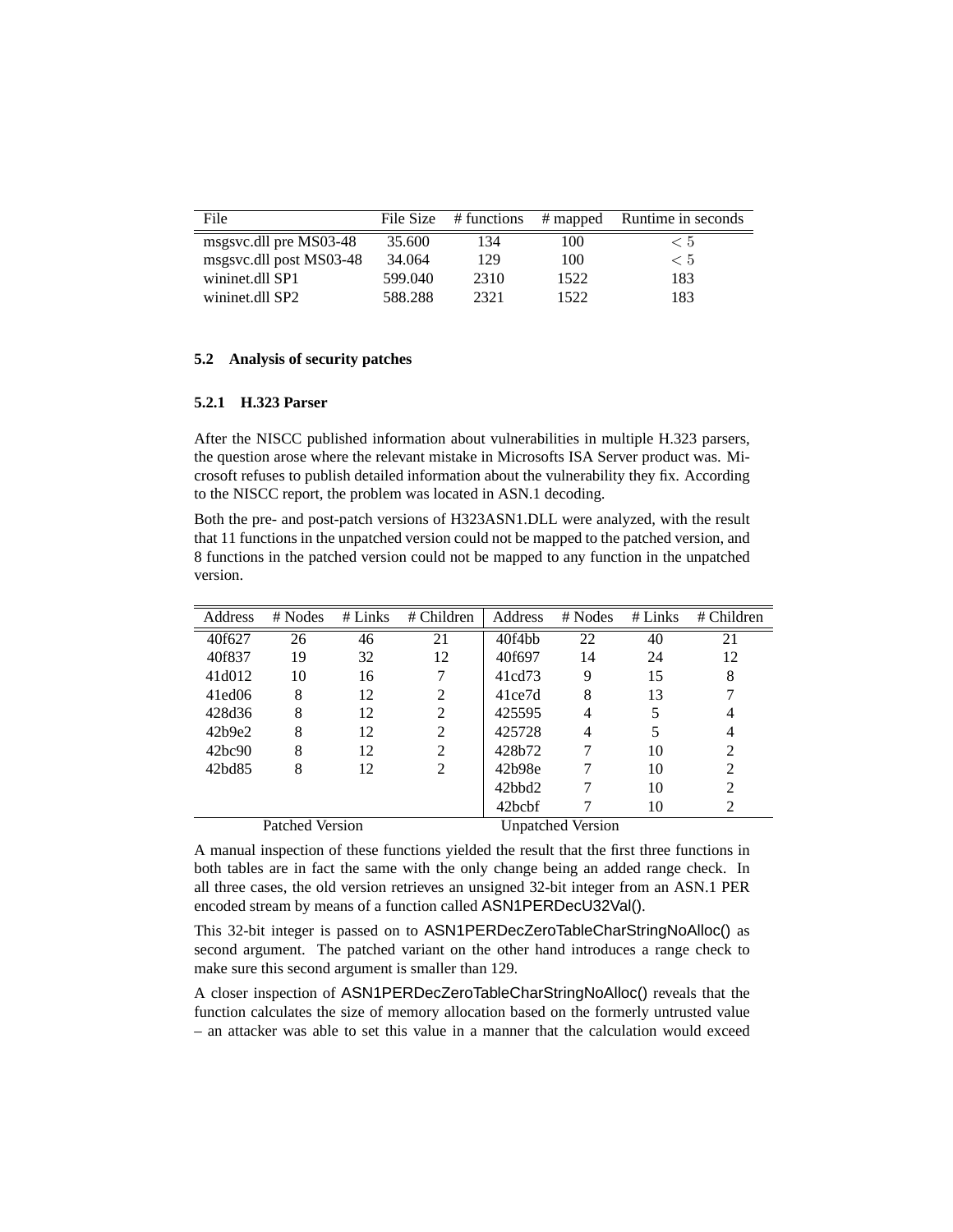| File                    | File Size | # functions |      | # mapped Runtime in seconds |  |
|-------------------------|-----------|-------------|------|-----------------------------|--|
| msgsvc.dll pre MS03-48  | 35.600    | 134         | 100  | < 5                         |  |
| msgsvc.dll post MS03-48 | 34.064    | 129         | 100  | < 5                         |  |
| wininet.dll SP1         | 599.040   | 2310        | 1522 | 183                         |  |
| wininet.dll SP2         | 588.288   | 2321        | 1522 | 183                         |  |

### **5.2 Analysis of security patches**

### **5.2.1 H.323 Parser**

After the NISCC published information about vulnerabilities in multiple H.323 parsers, the question arose where the relevant mistake in Microsofts ISA Server product was. Microsoft refuses to publish detailed information about the vulnerability they fix. According to the NISCC report, the problem was located in ASN.1 decoding.

Both the pre- and post-patch versions of H323ASN1.DLL were analyzed, with the result that 11 functions in the unpatched version could not be mapped to the patched version, and 8 functions in the patched version could not be mapped to any function in the unpatched version.

| Address             | $#$ Nodes       | $#$ Links | # Children     | <b>Address</b>           | $#$ Nodes | $#$ Links | $#$ Children                |  |
|---------------------|-----------------|-----------|----------------|--------------------------|-----------|-----------|-----------------------------|--|
| 40f627              | 26              | 46        | 21             | 40f4bb                   | 22        | 40        | 21                          |  |
| 40f837              | 19              | 32        | 12             | 40f697                   | 14        | 24        | 12                          |  |
| 41d <sub>0</sub> 12 | 10              | 16        |                | 41cd73                   | 9         | 15        | 8                           |  |
| $41$ ed $06$        | 8               | 12        | 2              | 41ce7d                   | 8         | 13        |                             |  |
| 428d36              | 8               | 12        | 2              | 425595                   | 4         | 5         | 4                           |  |
| 42b9e2              | 8               | 12        | 2              | 425728                   | 4         | 5         | 4                           |  |
| 42bc90              | 8               | 12        | $\mathfrak{D}$ | 428b72                   |           | 10        | $\mathcal{D}_{\mathcal{L}}$ |  |
| 42bd85              | 8               | 12        | 2              | 42b98e                   |           | 10        | $\mathfrak{D}$              |  |
|                     |                 |           |                | 42bbd2                   |           | 10        | $\mathcal{D}_{\mathcal{L}}$ |  |
|                     |                 |           |                | 42 <sub>bc</sub> hf      |           | 10        | 2                           |  |
|                     | Patched Version |           |                | <b>Unpatched Version</b> |           |           |                             |  |

A manual inspection of these functions yielded the result that the first three functions in both tables are in fact the same with the only change being an added range check. In all three cases, the old version retrieves an unsigned 32-bit integer from an ASN.1 PER encoded stream by means of a function called ASN1PERDecU32Val().

This 32-bit integer is passed on to ASN1PERDecZeroTableCharStringNoAlloc() as second argument. The patched variant on the other hand introduces a range check to make sure this second argument is smaller than 129.

A closer inspection of ASN1PERDecZeroTableCharStringNoAlloc() reveals that the function calculates the size of memory allocation based on the formerly untrusted value – an attacker was able to set this value in a manner that the calculation would exceed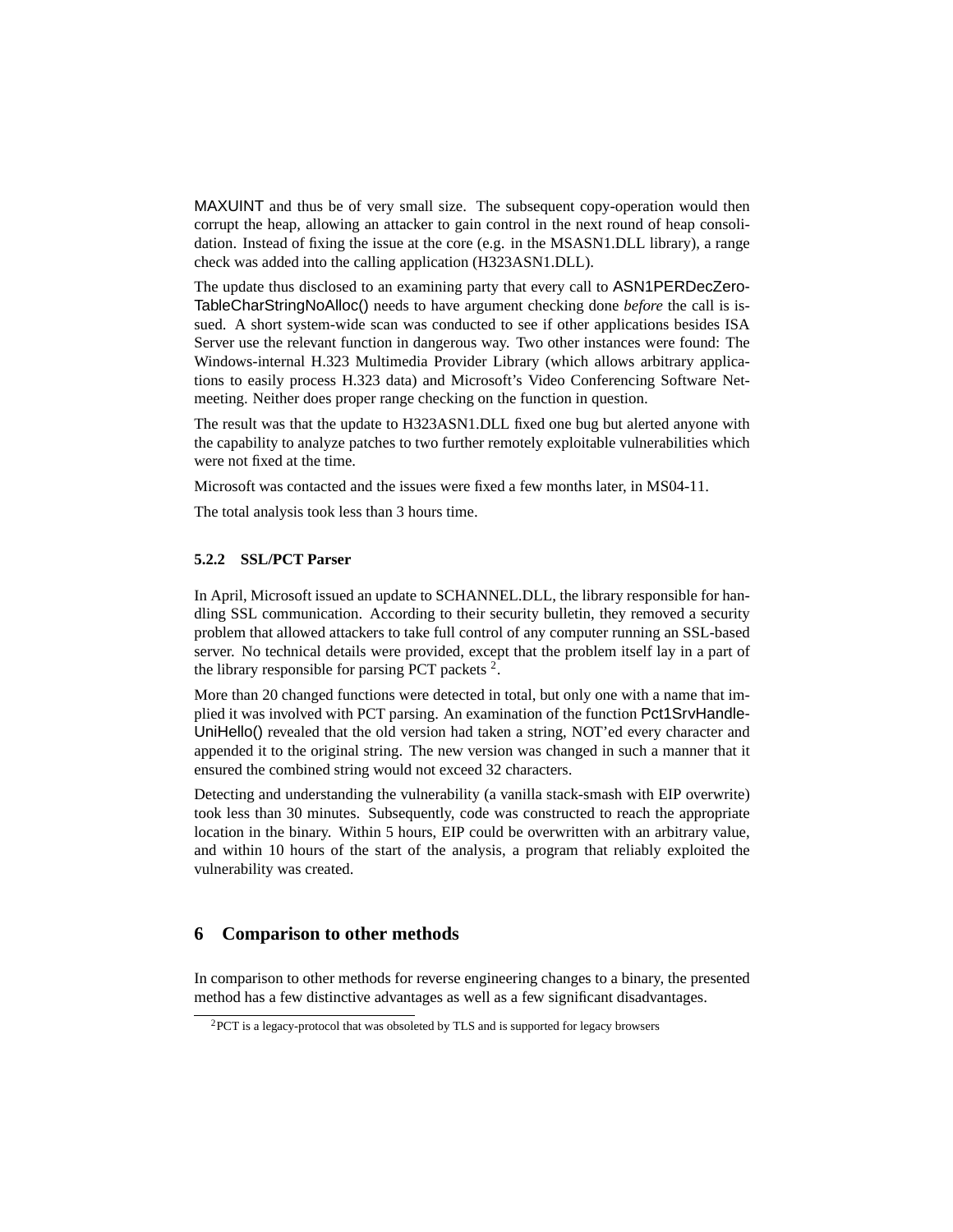MAXUINT and thus be of very small size. The subsequent copy-operation would then corrupt the heap, allowing an attacker to gain control in the next round of heap consolidation. Instead of fixing the issue at the core (e.g. in the MSASN1.DLL library), a range check was added into the calling application (H323ASN1.DLL).

The update thus disclosed to an examining party that every call to ASN1PERDecZero-TableCharStringNoAlloc() needs to have argument checking done *before* the call is issued. A short system-wide scan was conducted to see if other applications besides ISA Server use the relevant function in dangerous way. Two other instances were found: The Windows-internal H.323 Multimedia Provider Library (which allows arbitrary applications to easily process H.323 data) and Microsoft's Video Conferencing Software Netmeeting. Neither does proper range checking on the function in question.

The result was that the update to H323ASN1.DLL fixed one bug but alerted anyone with the capability to analyze patches to two further remotely exploitable vulnerabilities which were not fixed at the time.

Microsoft was contacted and the issues were fixed a few months later, in MS04-11.

The total analysis took less than 3 hours time.

### **5.2.2 SSL/PCT Parser**

In April, Microsoft issued an update to SCHANNEL.DLL, the library responsible for handling SSL communication. According to their security bulletin, they removed a security problem that allowed attackers to take full control of any computer running an SSL-based server. No technical details were provided, except that the problem itself lay in a part of the library responsible for parsing PCT packets  $2$ .

More than 20 changed functions were detected in total, but only one with a name that implied it was involved with PCT parsing. An examination of the function Pct1SrvHandle-UniHello() revealed that the old version had taken a string, NOT'ed every character and appended it to the original string. The new version was changed in such a manner that it ensured the combined string would not exceed 32 characters.

Detecting and understanding the vulnerability (a vanilla stack-smash with EIP overwrite) took less than 30 minutes. Subsequently, code was constructed to reach the appropriate location in the binary. Within 5 hours, EIP could be overwritten with an arbitrary value, and within 10 hours of the start of the analysis, a program that reliably exploited the vulnerability was created.

### **6 Comparison to other methods**

In comparison to other methods for reverse engineering changes to a binary, the presented method has a few distinctive advantages as well as a few significant disadvantages.

<sup>2</sup>PCT is a legacy-protocol that was obsoleted by TLS and is supported for legacy browsers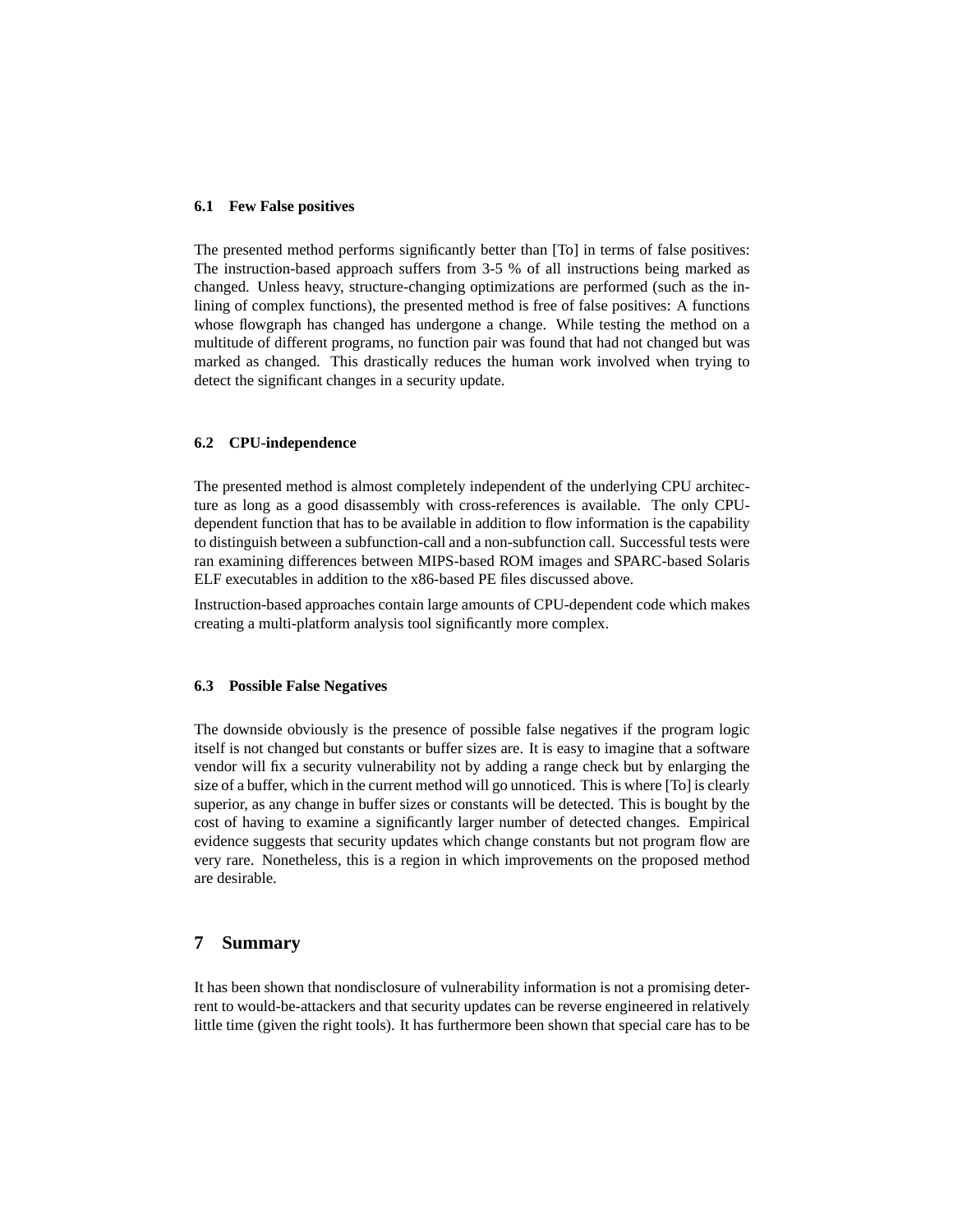### **6.1 Few False positives**

The presented method performs significantly better than [To] in terms of false positives: The instruction-based approach suffers from 3-5 % of all instructions being marked as changed. Unless heavy, structure-changing optimizations are performed (such as the inlining of complex functions), the presented method is free of false positives: A functions whose flowgraph has changed has undergone a change. While testing the method on a multitude of different programs, no function pair was found that had not changed but was marked as changed. This drastically reduces the human work involved when trying to detect the significant changes in a security update.

#### **6.2 CPU-independence**

The presented method is almost completely independent of the underlying CPU architecture as long as a good disassembly with cross-references is available. The only CPUdependent function that has to be available in addition to flow information is the capability to distinguish between a subfunction-call and a non-subfunction call. Successful tests were ran examining differences between MIPS-based ROM images and SPARC-based Solaris ELF executables in addition to the x86-based PE files discussed above.

Instruction-based approaches contain large amounts of CPU-dependent code which makes creating a multi-platform analysis tool significantly more complex.

### **6.3 Possible False Negatives**

The downside obviously is the presence of possible false negatives if the program logic itself is not changed but constants or buffer sizes are. It is easy to imagine that a software vendor will fix a security vulnerability not by adding a range check but by enlarging the size of a buffer, which in the current method will go unnoticed. This is where [To] is clearly superior, as any change in buffer sizes or constants will be detected. This is bought by the cost of having to examine a significantly larger number of detected changes. Empirical evidence suggests that security updates which change constants but not program flow are very rare. Nonetheless, this is a region in which improvements on the proposed method are desirable.

### **7 Summary**

It has been shown that nondisclosure of vulnerability information is not a promising deterrent to would-be-attackers and that security updates can be reverse engineered in relatively little time (given the right tools). It has furthermore been shown that special care has to be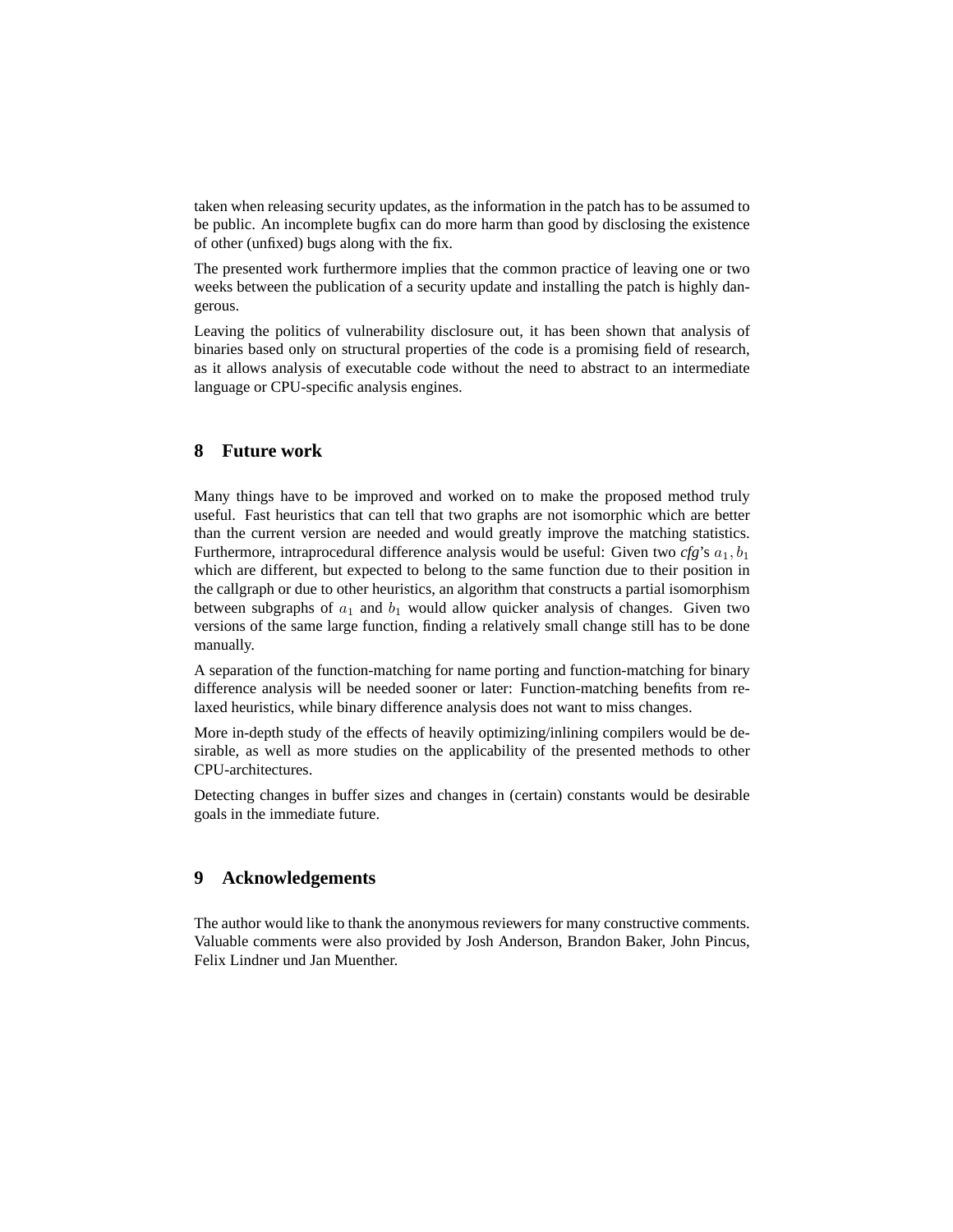taken when releasing security updates, as the information in the patch has to be assumed to be public. An incomplete bugfix can do more harm than good by disclosing the existence of other (unfixed) bugs along with the fix.

The presented work furthermore implies that the common practice of leaving one or two weeks between the publication of a security update and installing the patch is highly dangerous.

Leaving the politics of vulnerability disclosure out, it has been shown that analysis of binaries based only on structural properties of the code is a promising field of research, as it allows analysis of executable code without the need to abstract to an intermediate language or CPU-specific analysis engines.

## **8 Future work**

Many things have to be improved and worked on to make the proposed method truly useful. Fast heuristics that can tell that two graphs are not isomorphic which are better than the current version are needed and would greatly improve the matching statistics. Furthermore, intraprocedural difference analysis would be useful: Given two  $cfg$ 's  $a_1, b_1$ which are different, but expected to belong to the same function due to their position in the callgraph or due to other heuristics, an algorithm that constructs a partial isomorphism between subgraphs of  $a_1$  and  $b_1$  would allow quicker analysis of changes. Given two versions of the same large function, finding a relatively small change still has to be done manually.

A separation of the function-matching for name porting and function-matching for binary difference analysis will be needed sooner or later: Function-matching benefits from relaxed heuristics, while binary difference analysis does not want to miss changes.

More in-depth study of the effects of heavily optimizing/inlining compilers would be desirable, as well as more studies on the applicability of the presented methods to other CPU-architectures.

Detecting changes in buffer sizes and changes in (certain) constants would be desirable goals in the immediate future.

## **9 Acknowledgements**

The author would like to thank the anonymous reviewers for many constructive comments. Valuable comments were also provided by Josh Anderson, Brandon Baker, John Pincus, Felix Lindner und Jan Muenther.